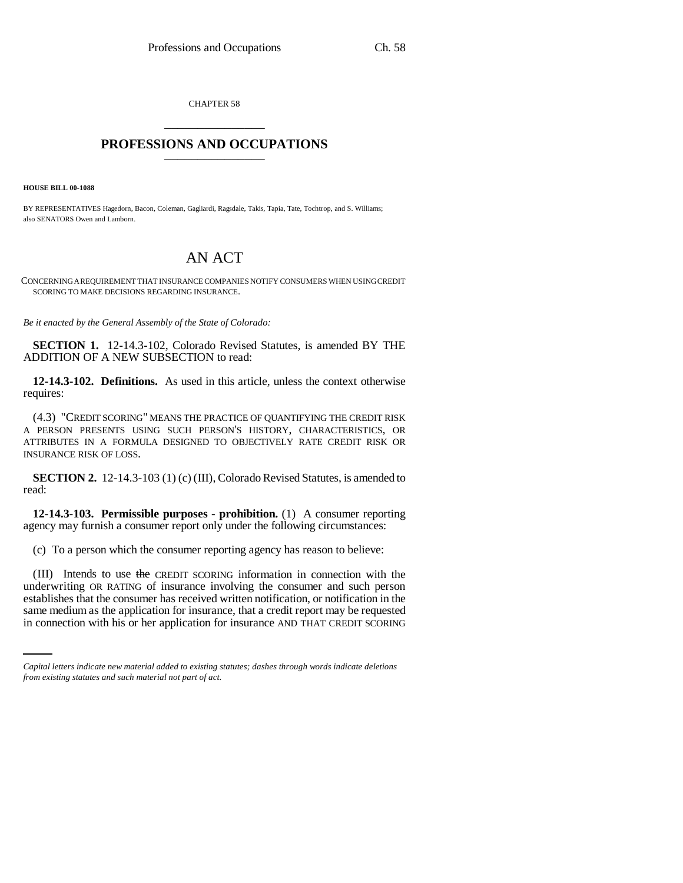CHAPTER 58 \_\_\_\_\_\_\_\_\_\_\_\_\_\_\_

## **PROFESSIONS AND OCCUPATIONS** \_\_\_\_\_\_\_\_\_\_\_\_\_\_\_

**HOUSE BILL 00-1088** 

BY REPRESENTATIVES Hagedorn, Bacon, Coleman, Gagliardi, Ragsdale, Takis, Tapia, Tate, Tochtrop, and S. Williams; also SENATORS Owen and Lamborn.

## AN ACT

CONCERNING A REQUIREMENT THAT INSURANCE COMPANIES NOTIFY CONSUMERS WHEN USING CREDIT SCORING TO MAKE DECISIONS REGARDING INSURANCE.

*Be it enacted by the General Assembly of the State of Colorado:*

**SECTION 1.** 12-14.3-102, Colorado Revised Statutes, is amended BY THE ADDITION OF A NEW SUBSECTION to read:

**12-14.3-102. Definitions.** As used in this article, unless the context otherwise requires:

(4.3) "CREDIT SCORING" MEANS THE PRACTICE OF QUANTIFYING THE CREDIT RISK A PERSON PRESENTS USING SUCH PERSON'S HISTORY, CHARACTERISTICS, OR ATTRIBUTES IN A FORMULA DESIGNED TO OBJECTIVELY RATE CREDIT RISK OR INSURANCE RISK OF LOSS.

**SECTION 2.** 12-14.3-103 (1) (c) (III), Colorado Revised Statutes, is amended to read:

**12-14.3-103. Permissible purposes - prohibition.** (1) A consumer reporting agency may furnish a consumer report only under the following circumstances:

(c) To a person which the consumer reporting agency has reason to believe:

establishes that the consumer has received written notification, or notification in the (III) Intends to use the CREDIT SCORING information in connection with the underwriting OR RATING of insurance involving the consumer and such person same medium as the application for insurance, that a credit report may be requested in connection with his or her application for insurance AND THAT CREDIT SCORING

*Capital letters indicate new material added to existing statutes; dashes through words indicate deletions from existing statutes and such material not part of act.*